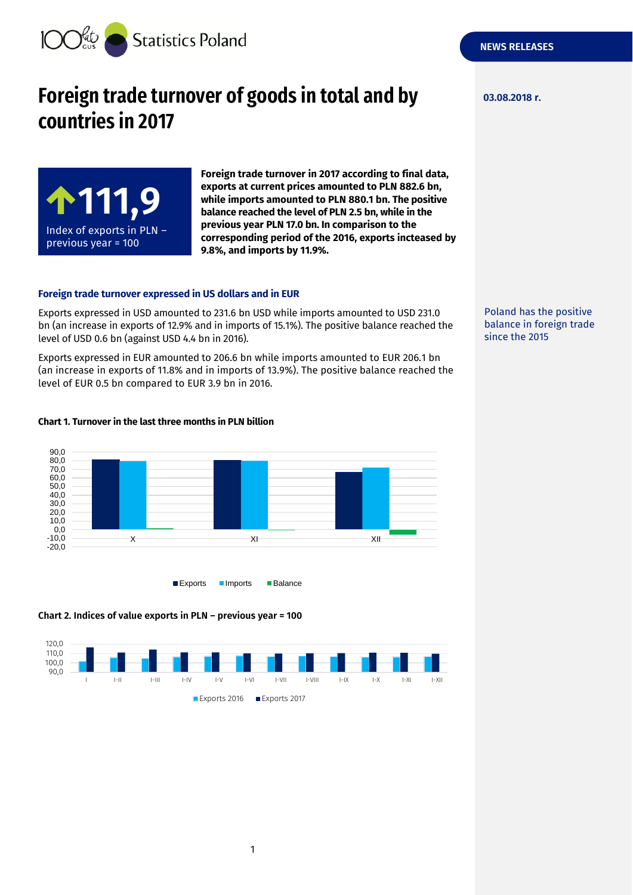

**111,9**

Index of exports in PLN – previous year = 100

# **Foreign trade turnover of goods in total and by 03.08.2018 r. countries in 2017**

**Foreign trade turnover in 2017 according to final data, exports at current prices amounted to PLN 882.6 bn, while imports amounted to PLN 880.1 bn. The positive balance reached the level of PLN 2.5 bn, while in the previous year PLN 17.0 bn. In comparison to the corresponding period of the 2016, exports incteased by 9.8%, and imports by 11.9%.**

#### **Foreign trade turnover expressed in US dollars and in EUR**

Exports expressed in USD amounted to 231.6 bn USD while imports amounted to USD 231.0 bn (an increase in exports of 12.9% and in imports of 15.1%). The positive balance reached the level of USD 0.6 bn (against USD 4.4 bn in 2016).

Exports expressed in EUR amounted to 206.6 bn while imports amounted to EUR 206.1 bn (an increase in exports of 11.8% and in imports of 13.9%). The positive balance reached the level of EUR 0.5 bn compared to EUR 3.9 bn in 2016.



#### **Chart 1. Turnover in the last three months in PLN billion**





**NEWS RELEASES**

Poland has the positive balance in foreign trade since the 2015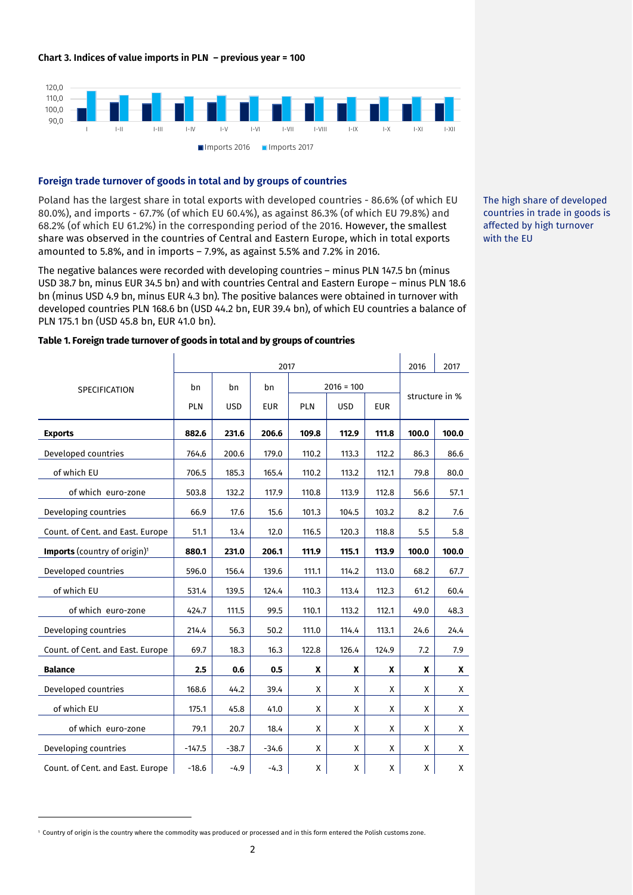

# **Foreign trade turnover of goods in total and by groups of countries**

Poland has the largest share in total exports with developed countries - 86.6% (of which EU 80.0%), and imports - 67.7% (of which EU 60.4%), as against 86.3% (of which EU 79.8%) and 68.2% (of which EU 61.2%) in the corresponding period of the 2016. However, the smallest share was observed in the countries of Central and Eastern Europe, which in total exports amounted to 5.8%, and in imports – 7.9%, as against 5.5% and 7.2% in 2016.

The negative balances were recorded with developing countries – minus PLN 147.5 bn (minus USD 38.7 bn, minus EUR 34.5 bn) and with countries Central and Eastern Europe – minus PLN 18.6 bn (minus USD 4.9 bn, minus EUR 4.3 bn). The positive balances were obtained in turnover with developed countries PLN 168.6 bn (USD 44.2 bn, EUR 39.4 bn), of which EU countries a balance of PLN 175.1 bn (USD 45.8 bn, EUR 41.0 bn).

The high share of developed countries in trade in goods is affected by high turnover with the EU

|                                          | 2017           |            |              |       |            |            |                | 2017  |
|------------------------------------------|----------------|------------|--------------|-------|------------|------------|----------------|-------|
| SPECIFICATION                            | bn<br>bn<br>bn |            | $2016 = 100$ |       |            |            |                |       |
|                                          | <b>PLN</b>     | <b>USD</b> | <b>EUR</b>   | PLN   | <b>USD</b> | <b>EUR</b> | structure in % |       |
| <b>Exports</b>                           | 882.6          | 231.6      | 206.6        | 109.8 | 112.9      | 111.8      | 100.0          | 100.0 |
| Developed countries                      | 764.6          | 200.6      | 179.0        | 110.2 | 113.3      | 112.2      | 86.3           | 86.6  |
| of which EU                              | 706.5          | 185.3      | 165.4        | 110.2 | 113.2      | 112.1      | 79.8           | 80.0  |
| of which euro-zone                       | 503.8          | 132.2      | 117.9        | 110.8 | 113.9      | 112.8      | 56.6           | 57.1  |
| Developing countries                     | 66.9           | 17.6       | 15.6         | 101.3 | 104.5      | 103.2      | 8.2            | 7.6   |
| Count. of Cent. and East. Europe         | 51.1           | 13.4       | 12.0         | 116.5 | 120.3      | 118.8      | 5.5            | 5.8   |
| Imports (country of origin) <sup>1</sup> | 880.1          | 231.0      | 206.1        | 111.9 | 115.1      | 113.9      | 100.0          | 100.0 |
| Developed countries                      | 596.0          | 156.4      | 139.6        | 111.1 | 114.2      | 113.0      | 68.2           | 67.7  |
| of which EU                              | 531.4          | 139.5      | 124.4        | 110.3 | 113.4      | 112.3      | 61.2           | 60.4  |
| of which euro-zone                       | 424.7          | 111.5      | 99.5         | 110.1 | 113.2      | 112.1      | 49.0           | 48.3  |
| Developing countries                     | 214.4          | 56.3       | 50.2         | 111.0 | 114.4      | 113.1      | 24.6           | 24.4  |
| Count. of Cent. and East. Europe         | 69.7           | 18.3       | 16.3         | 122.8 | 126.4      | 124.9      | 7.2            | 7.9   |
| <b>Balance</b>                           | 2.5            | 0.6        | 0.5          | X     | X          | X          | X              | X     |
| Developed countries                      | 168.6          | 44.2       | 39.4         | X     | X          | x          | x              | X     |
| of which EU                              | 175.1          | 45.8       | 41.0         | Χ     | X          | X          | X              | X     |
| of which euro-zone                       | 79.1           | 20.7       | 18.4         | X     | X          | X          | X              | X     |
| Developing countries                     | $-147.5$       | $-38.7$    | $-34.6$      | X     | X          | X          | X              | X     |
| Count. of Cent. and East. Europe         | $-18.6$        | $-4.9$     | $-4.3$       | X     | X          | X          | X              | X     |

#### **Table 1. Foreign trade turnover of goods in total and by groups of countries**

-

<sup>1</sup> Country of origin is the country where the commodity was produced or processed and in this form entered the Polish customs zone.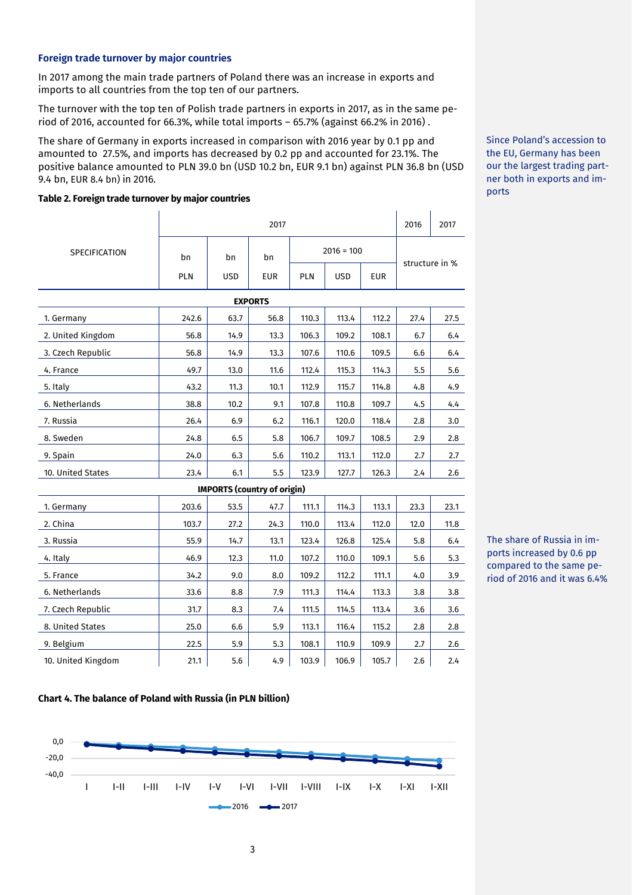# **Foreign trade turnover by major countries**

In 2017 among the main trade partners of Poland there was an increase in exports and imports to all countries from the top ten of our partners.

The turnover with the top ten of Polish trade partners in exports in 2017, as in the same period of 2016, accounted for 66.3%, while total imports – 65.7% (against 66.2% in 2016) .

The share of Germany in exports increased in comparison with 2016 year by 0.1 pp and amounted to 27.5%, and imports has decreased by 0.2 pp and accounted for 23.1%. The positive balance amounted to PLN 39.0 bn (USD 10.2 bn, EUR 9.1 bn) against PLN 36.8 bn (USD 9.4 bn, EUR 8.4 bn) in 2016.

#### **Table 2. Foreign trade turnover by major countries**

|                    | 2017  |                                    |            |       |              |                |      | 2017 |  |
|--------------------|-------|------------------------------------|------------|-------|--------------|----------------|------|------|--|
| SPECIFICATION      | bn    | bn                                 | bn         |       | $2016 = 100$ | structure in % |      |      |  |
|                    | PLN   | <b>USD</b>                         | <b>EUR</b> | PLN   | <b>USD</b>   | <b>EUR</b>     |      |      |  |
| <b>EXPORTS</b>     |       |                                    |            |       |              |                |      |      |  |
| 1. Germany         | 242.6 | 63.7                               | 56.8       | 110.3 | 113.4        | 112.2          | 27.4 | 27.5 |  |
| 2. United Kingdom  | 56.8  | 14.9                               | 13.3       | 106.3 | 109.2        | 108.1          | 6.7  | 6.4  |  |
| 3. Czech Republic  | 56.8  | 14.9                               | 13.3       | 107.6 | 110.6        | 109.5          | 6.6  | 6.4  |  |
| 4. France          | 49.7  | 13.0                               | 11.6       | 112.4 | 115.3        | 114.3          | 5.5  | 5.6  |  |
| 5. Italy           | 43.2  | 11.3                               | 10.1       | 112.9 | 115.7        | 114.8          | 4.8  | 4.9  |  |
| 6. Netherlands     | 38.8  | 10.2                               | 9.1        | 107.8 | 110.8        | 109.7          | 4.5  | 4.4  |  |
| 7. Russia          | 26.4  | 6.9                                | 6.2        | 116.1 | 120.0        | 118.4          | 2.8  | 3.0  |  |
| 8. Sweden          | 24.8  | 6.5                                | 5.8        | 106.7 | 109.7        | 108.5          | 2.9  | 2.8  |  |
| 9. Spain           | 24.0  | 6.3                                | 5.6        | 110.2 | 113.1        | 112.0          | 2.7  | 2.7  |  |
| 10. United States  | 23.4  | 6.1                                | 5.5        | 123.9 | 127.7        | 126.3          | 2.4  | 2.6  |  |
|                    |       | <b>IMPORTS (country of origin)</b> |            |       |              |                |      |      |  |
| 1. Germany         | 203.6 | 53.5                               | 47.7       | 111.1 | 114.3        | 113.1          | 23.3 | 23.1 |  |
| 2. China           | 103.7 | 27.2                               | 24.3       | 110.0 | 113.4        | 112.0          | 12.0 | 11.8 |  |
| 3. Russia          | 55.9  | 14.7                               | 13.1       | 123.4 | 126.8        | 125.4          | 5.8  | 6.4  |  |
| 4. Italy           | 46.9  | 12.3                               | 11.0       | 107.2 | 110.0        | 109.1          | 5.6  | 5.3  |  |
| 5. France          | 34.2  | 9.0                                | 8.0        | 109.2 | 112.2        | 111.1          | 4.0  | 3.9  |  |
| 6. Netherlands     | 33.6  | 8.8                                | 7.9        | 111.3 | 114.4        | 113.3          | 3.8  | 3.8  |  |
| 7. Czech Republic  | 31.7  | 8.3                                | 7.4        | 111.5 | 114.5        | 113.4          | 3.6  | 3.6  |  |
| 8. United States   | 25.0  | 6.6                                | 5.9        | 113.1 | 116.4        | 115.2          | 2.8  | 2.8  |  |
| 9. Belgium         | 22.5  | 5.9                                | 5.3        | 108.1 | 110.9        | 109.9          | 2.7  | 2.6  |  |
| 10. United Kingdom | 21.1  | 5.6                                | 4.9        | 103.9 | 106.9        | 105.7          | 2.6  | 2.4  |  |

# The share of Russia in imports increased by 0.6 pp compared to the same period of 2016 and it was 6.4%

#### **Chart 4. The balance of Poland with Russia (in PLN billion)**



Since Poland's accession to the EU, Germany has been our the largest trading partner both in exports and imports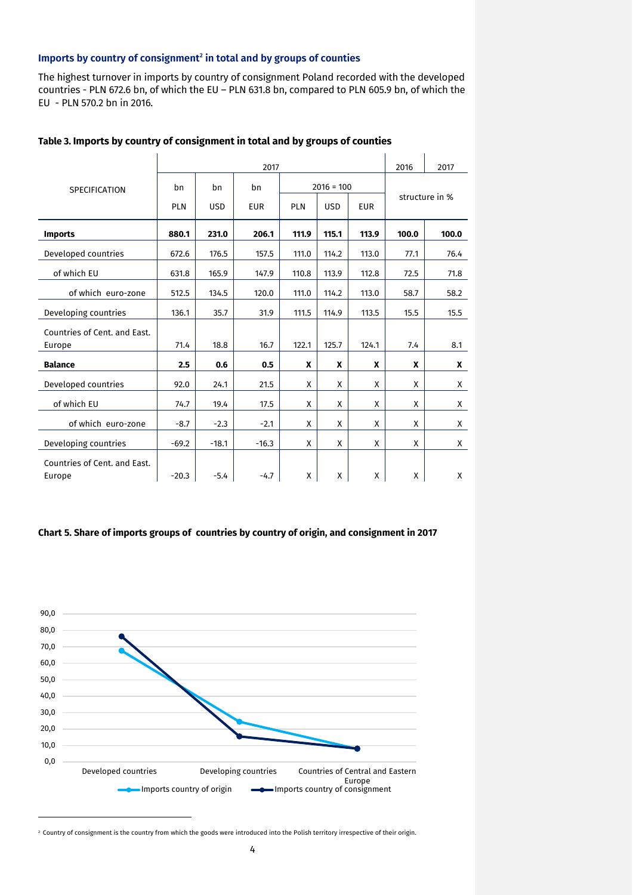#### **Imports by country of consignment<sup>2</sup> in total and by groups of counties**

The highest turnover in imports by country of consignment Poland recorded with the developed countries - PLN 672.6 bn, of which the EU – PLN 631.8 bn, compared to PLN 605.9 bn, of which the EU - PLN 570.2 bn in 2016.

|                              | 2017       |            |            |            |              |            |                | 2017  |  |  |
|------------------------------|------------|------------|------------|------------|--------------|------------|----------------|-------|--|--|
| <b>SPECIFICATION</b>         | bn         | bn         | bn         |            | $2016 = 100$ |            |                |       |  |  |
|                              | <b>PLN</b> | <b>USD</b> | <b>EUR</b> | <b>PLN</b> | <b>USD</b>   | <b>EUR</b> | structure in % |       |  |  |
| <b>Imports</b>               | 880.1      | 231.0      | 206.1      | 111.9      | 115.1        | 113.9      | 100.0          | 100.0 |  |  |
| Developed countries          | 672.6      | 176.5      | 157.5      | 111.0      | 114.2        | 113.0      | 77.1           | 76.4  |  |  |
| of which EU                  | 631.8      | 165.9      | 147.9      | 110.8      | 113.9        | 112.8      | 72.5           | 71.8  |  |  |
| of which euro-zone           | 512.5      | 134.5      | 120.0      | 111.0      | 114.2        | 113.0      | 58.7           | 58.2  |  |  |
| Developing countries         | 136.1      | 35.7       | 31.9       | 111.5      | 114.9        | 113.5      | 15.5           | 15.5  |  |  |
| Countries of Cent. and East. |            |            |            |            |              |            |                |       |  |  |
| Europe                       | 71.4       | 18.8       | 16.7       | 122.1      | 125.7        | 124.1      | 7.4            | 8.1   |  |  |
| <b>Balance</b>               | 2.5        | 0.6        | 0.5        | X          | X            | X          | X              | X     |  |  |
| Developed countries          | 92.0       | 24.1       | 21.5       | X          | X            | X          | X              | X     |  |  |
| of which EU                  | 74.7       | 19.4       | 17.5       | X          | X            | X          | X              | X     |  |  |
| of which euro-zone           | $-8.7$     | $-2.3$     | $-2.1$     | X          | X            | X          | X              | X     |  |  |
| Developing countries         | $-69.2$    | $-18.1$    | $-16.3$    | X          | X            | X          | X              | X     |  |  |
| Countries of Cent. and East. |            |            |            |            |              |            |                |       |  |  |
| Europe                       | $-20.3$    | $-5.4$     | $-4.7$     | Χ          | Χ            | X          | Χ              | X     |  |  |

# **Table 3. Imports by country of consignment in total and by groups of counties**

#### **Chart 5. Share of imports groups of countries by country of origin, and consignment in 2017**



<sup>2</sup> Country of consignment is the country from which the goods were introduced into the Polish territory irrespective of their origin.

-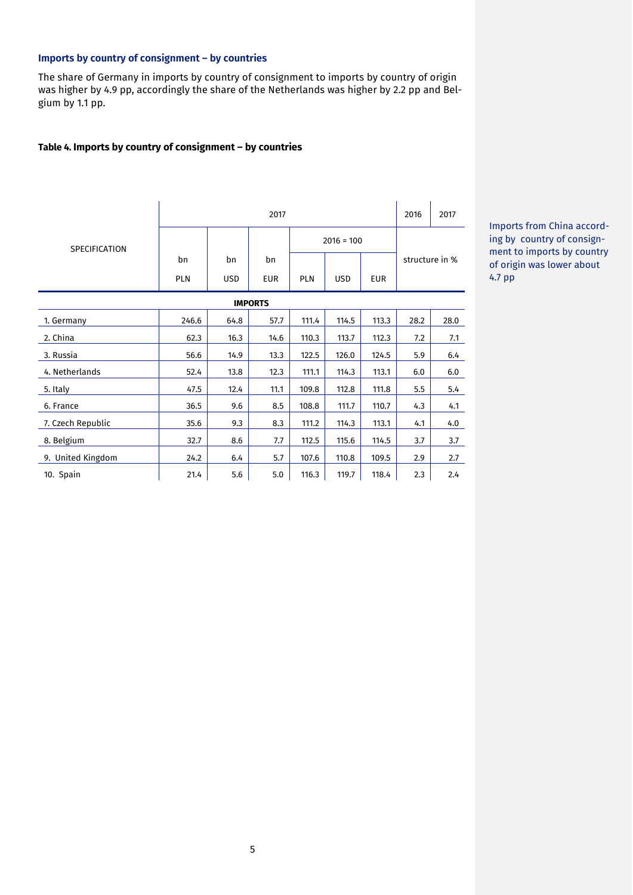# **Imports by country of consignment – by countries**

The share of Germany in imports by country of consignment to imports by country of origin was higher by 4.9 pp, accordingly the share of the Netherlands was higher by 2.2 pp and Belgium by 1.1 pp.

### **Table 4. Imports by country of consignment – by countries**

|                      | 2017       |            |            |            |              |            |                | 2017 |  |
|----------------------|------------|------------|------------|------------|--------------|------------|----------------|------|--|
| <b>SPECIFICATION</b> |            |            |            |            | $2016 = 100$ |            |                |      |  |
|                      | bn         | bn         | bn         |            |              |            | structure in % |      |  |
|                      | <b>PLN</b> | <b>USD</b> | <b>EUR</b> | <b>PLN</b> | <b>USD</b>   | <b>EUR</b> |                |      |  |
| <b>IMPORTS</b>       |            |            |            |            |              |            |                |      |  |
| 1. Germany           | 246.6      | 64.8       | 57.7       | 111.4      | 114.5        | 113.3      | 28.2           | 28.0 |  |
| 2. China             | 62.3       | 16.3       | 14.6       | 110.3      | 113.7        | 112.3      | 7.2            | 7.1  |  |
| 3. Russia            | 56.6       | 14.9       | 13.3       | 122.5      | 126.0        | 124.5      | 5.9            | 6.4  |  |
| 4. Netherlands       | 52.4       | 13.8       | 12.3       | 111.1      | 114.3        | 113.1      | 6.0            | 6.0  |  |
| 5. Italy             | 47.5       | 12.4       | 11.1       | 109.8      | 112.8        | 111.8      | 5.5            | 5.4  |  |
| 6. France            | 36.5       | 9.6        | 8.5        | 108.8      | 111.7        | 110.7      | 4.3            | 4.1  |  |
| 7. Czech Republic    | 35.6       | 9.3        | 8.3        | 111.2      | 114.3        | 113.1      | 4.1            | 4.0  |  |
| 8. Belgium           | 32.7       | 8.6        | 7.7        | 112.5      | 115.6        | 114.5      | 3.7            | 3.7  |  |
| 9. United Kingdom    | 24.2       | 6.4        | 5.7        | 107.6      | 110.8        | 109.5      | 2.9            | 2.7  |  |
| 10. Spain            | 21.4       | 5.6        | 5.0        | 116.3      | 119.7        | 118.4      | 2.3            | 2.4  |  |

Imports from China according by country of consignment to imports by country of origin was lower about 4.7 pp